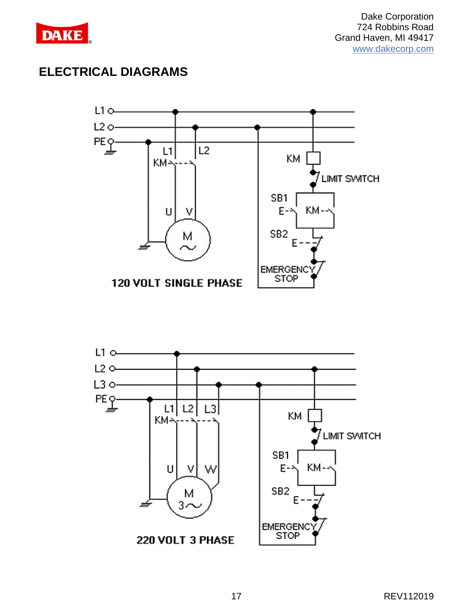

## **ELECTRICAL DIAGRAMS**



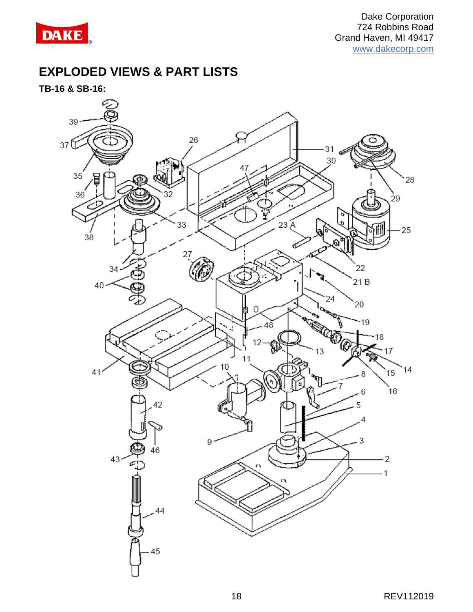

## **EXPLODED VIEWS & PART LISTS**

**TB-16 & SB-16:**

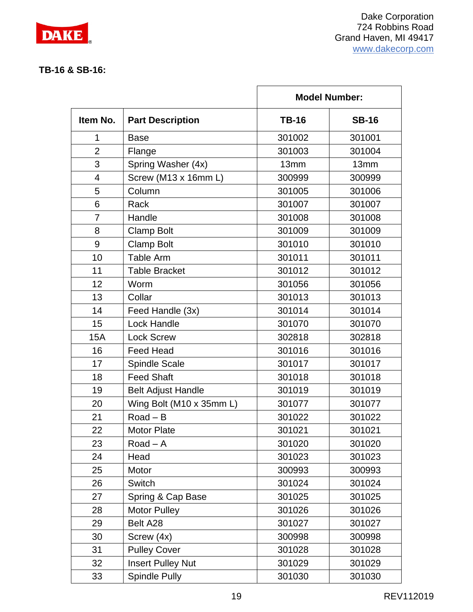

Ĩ.

#### **TB-16 & SB-16:**

|                |                           | <b>Model Number:</b> |              |
|----------------|---------------------------|----------------------|--------------|
| Item No.       | <b>Part Description</b>   | <b>TB-16</b>         | <b>SB-16</b> |
| 1              | <b>Base</b>               | 301002               | 301001       |
| $\overline{2}$ | Flange                    | 301003               | 301004       |
| 3              | Spring Washer (4x)        | 13mm                 | 13mm         |
| $\overline{4}$ | Screw (M13 x 16mm L)      | 300999               | 300999       |
| 5              | Column                    | 301005               | 301006       |
| 6              | Rack                      | 301007               | 301007       |
| $\overline{7}$ | Handle                    | 301008               | 301008       |
| 8              | <b>Clamp Bolt</b>         | 301009               | 301009       |
| 9              | <b>Clamp Bolt</b>         | 301010               | 301010       |
| 10             | Table Arm                 | 301011               | 301011       |
| 11             | <b>Table Bracket</b>      | 301012               | 301012       |
| 12             | Worm                      | 301056               | 301056       |
| 13             | Collar                    | 301013               | 301013       |
| 14             | Feed Handle (3x)          | 301014               | 301014       |
| 15             | Lock Handle               | 301070               | 301070       |
| 15A            | <b>Lock Screw</b>         | 302818               | 302818       |
| 16             | <b>Feed Head</b>          | 301016               | 301016       |
| 17             | <b>Spindle Scale</b>      | 301017               | 301017       |
| 18             | <b>Feed Shaft</b>         | 301018               | 301018       |
| 19             | <b>Belt Adjust Handle</b> | 301019               | 301019       |
| 20             | Wing Bolt (M10 x 35mm L)  | 301077               | 301077       |
| 21             | $Road - B$                | 301022               | 301022       |
| 22             | <b>Motor Plate</b>        | 301021               | 301021       |
| 23             | Road $-$ A                | 301020               | 301020       |
| 24             | Head                      | 301023               | 301023       |
| 25             | Motor                     | 300993               | 300993       |
| 26             | Switch                    | 301024               | 301024       |
| 27             | Spring & Cap Base         | 301025               | 301025       |
| 28             | <b>Motor Pulley</b>       | 301026               | 301026       |
| 29             | Belt A28                  | 301027               | 301027       |
| 30             | Screw (4x)                | 300998               | 300998       |
| 31             | <b>Pulley Cover</b>       | 301028               | 301028       |
| 32             | <b>Insert Pulley Nut</b>  | 301029               | 301029       |
| 33             | <b>Spindle Pully</b>      | 301030               | 301030       |

 $\mathsf{r}$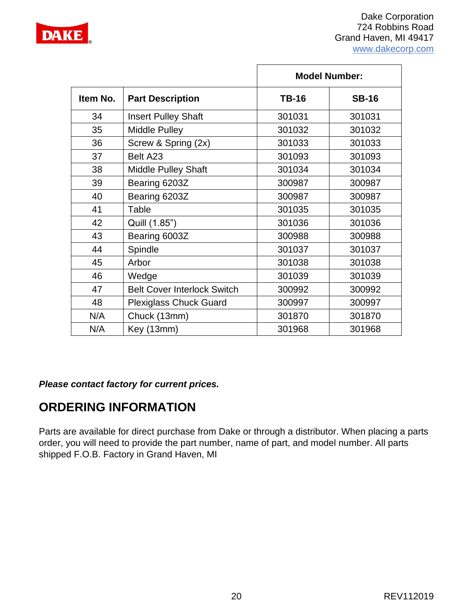

|          |                                    | <b>Model Number:</b> |              |
|----------|------------------------------------|----------------------|--------------|
| Item No. | <b>Part Description</b>            | <b>TB-16</b>         | <b>SB-16</b> |
| 34       | <b>Insert Pulley Shaft</b>         | 301031               | 301031       |
| 35       | <b>Middle Pulley</b>               | 301032               | 301032       |
| 36       | Screw & Spring (2x)                | 301033               | 301033       |
| 37       | Belt A23                           | 301093               | 301093       |
| 38       | <b>Middle Pulley Shaft</b>         | 301034               | 301034       |
| 39       | Bearing 6203Z                      | 300987               | 300987       |
| 40       | Bearing 6203Z                      | 300987               | 300987       |
| 41       | Table                              | 301035               | 301035       |
| 42       | Quill (1.85")                      | 301036               | 301036       |
| 43       | Bearing 6003Z                      | 300988               | 300988       |
| 44       | Spindle                            | 301037               | 301037       |
| 45       | Arbor                              | 301038               | 301038       |
| 46       | Wedge                              | 301039               | 301039       |
| 47       | <b>Belt Cover Interlock Switch</b> | 300992               | 300992       |
| 48       | <b>Plexiglass Chuck Guard</b>      | 300997               | 300997       |
| N/A      | Chuck (13mm)                       | 301870               | 301870       |
| N/A      | Key (13mm)                         | 301968               | 301968       |

*Please contact factory for current prices.*

# **ORDERING INFORMATION**

Parts are available for direct purchase from Dake or through a distributor. When placing a parts order, you will need to provide the part number, name of part, and model number. All parts shipped F.O.B. Factory in Grand Haven, MI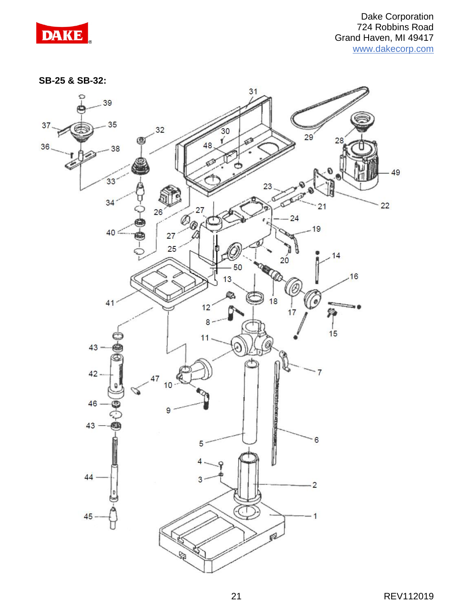

**SB-25 & SB-32:**

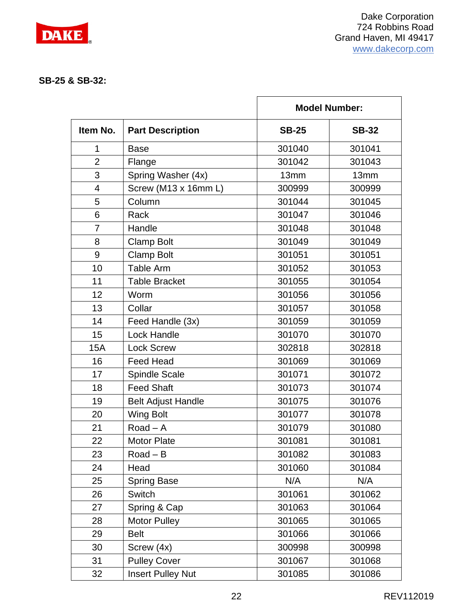

#### **SB-25 & SB-32:**

|                |                           | <b>Model Number:</b> |              |
|----------------|---------------------------|----------------------|--------------|
| Item No.       | <b>Part Description</b>   | <b>SB-25</b>         | <b>SB-32</b> |
| 1              | <b>Base</b>               | 301040               | 301041       |
| $\overline{2}$ | Flange                    | 301042               | 301043       |
| 3              | Spring Washer (4x)        | 13mm                 | 13mm         |
| $\overline{4}$ | Screw (M13 x 16mm L)      | 300999               | 300999       |
| 5              | Column                    | 301044               | 301045       |
| 6              | Rack                      | 301047               | 301046       |
| $\overline{7}$ | Handle                    | 301048               | 301048       |
| 8              | <b>Clamp Bolt</b>         | 301049               | 301049       |
| 9              | <b>Clamp Bolt</b>         | 301051               | 301051       |
| 10             | <b>Table Arm</b>          | 301052               | 301053       |
| 11             | <b>Table Bracket</b>      | 301055               | 301054       |
| 12             | Worm                      | 301056               | 301056       |
| 13             | Collar                    | 301057               | 301058       |
| 14             | Feed Handle (3x)          | 301059               | 301059       |
| 15             | Lock Handle               | 301070               | 301070       |
| <b>15A</b>     | <b>Lock Screw</b>         | 302818               | 302818       |
| 16             | <b>Feed Head</b>          | 301069               | 301069       |
| 17             | Spindle Scale             | 301071               | 301072       |
| 18             | <b>Feed Shaft</b>         | 301073               | 301074       |
| 19             | <b>Belt Adjust Handle</b> | 301075               | 301076       |
| 20             | <b>Wing Bolt</b>          | 301077               | 301078       |
| 21             | Road $-$ A                | 301079               | 301080       |
| 22             | <b>Motor Plate</b>        | 301081               | 301081       |
| 23             | Road $-$ B                | 301082               | 301083       |
| 24             | Head                      | 301060               | 301084       |
| 25             | <b>Spring Base</b>        | N/A                  | N/A          |
| 26             | Switch                    | 301061               | 301062       |
| 27             | Spring & Cap              | 301063               | 301064       |
| 28             | <b>Motor Pulley</b>       | 301065               | 301065       |
| 29             | <b>Belt</b>               | 301066               | 301066       |
| 30             | Screw (4x)                | 300998               | 300998       |
| 31             | <b>Pulley Cover</b>       | 301067               | 301068       |
| 32             | <b>Insert Pulley Nut</b>  | 301085               | 301086       |